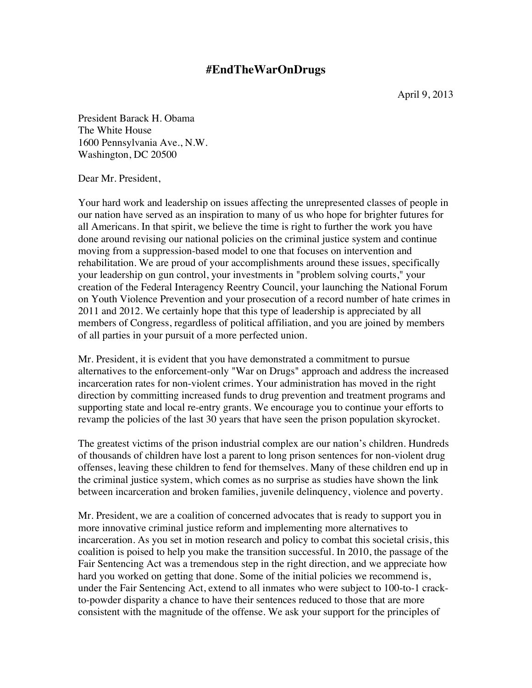# **#EndTheWarOnDrugs**

President Barack H. Obama The White House 1600 Pennsylvania Ave., N.W. Washington, DC 20500

Dear Mr. President,

Your hard work and leadership on issues affecting the unrepresented classes of people in our nation have served as an inspiration to many of us who hope for brighter futures for all Americans. In that spirit, we believe the time is right to further the work you have done around revising our national policies on the criminal justice system and continue moving from a suppression-based model to one that focuses on intervention and rehabilitation. We are proud of your accomplishments around these issues, specifically your leadership on gun control, your investments in "problem solving courts," your creation of the Federal Interagency Reentry Council, your launching the National Forum on Youth Violence Prevention and your prosecution of a record number of hate crimes in 2011 and 2012. We certainly hope that this type of leadership is appreciated by all members of Congress, regardless of political affiliation, and you are joined by members of all parties in your pursuit of a more perfected union.

Mr. President, it is evident that you have demonstrated a commitment to pursue alternatives to the enforcement-only "War on Drugs" approach and address the increased incarceration rates for non-violent crimes. Your administration has moved in the right direction by committing increased funds to drug prevention and treatment programs and supporting state and local re-entry grants. We encourage you to continue your efforts to revamp the policies of the last 30 years that have seen the prison population skyrocket.

The greatest victims of the prison industrial complex are our nation's children. Hundreds of thousands of children have lost a parent to long prison sentences for non-violent drug offenses, leaving these children to fend for themselves. Many of these children end up in the criminal justice system, which comes as no surprise as studies have shown the link between incarceration and broken families, juvenile delinquency, violence and poverty.

Mr. President, we are a coalition of concerned advocates that is ready to support you in more innovative criminal justice reform and implementing more alternatives to incarceration. As you set in motion research and policy to combat this societal crisis, this coalition is poised to help you make the transition successful. In 2010, the passage of the Fair Sentencing Act was a tremendous step in the right direction, and we appreciate how hard you worked on getting that done. Some of the initial policies we recommend is, under the Fair Sentencing Act, extend to all inmates who were subject to 100-to-1 crackto-powder disparity a chance to have their sentences reduced to those that are more consistent with the magnitude of the offense. We ask your support for the principles of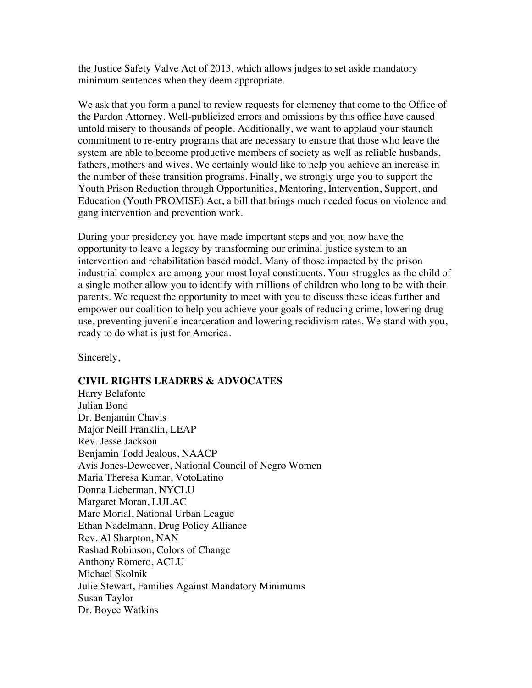the Justice Safety Valve Act of 2013, which allows judges to set aside mandatory minimum sentences when they deem appropriate.

We ask that you form a panel to review requests for clemency that come to the Office of the Pardon Attorney. Well-publicized errors and omissions by this office have caused untold misery to thousands of people. Additionally, we want to applaud your staunch commitment to re-entry programs that are necessary to ensure that those who leave the system are able to become productive members of society as well as reliable husbands, fathers, mothers and wives. We certainly would like to help you achieve an increase in the number of these transition programs. Finally, we strongly urge you to support the Youth Prison Reduction through Opportunities, Mentoring, Intervention, Support, and Education (Youth PROMISE) Act, a bill that brings much needed focus on violence and gang intervention and prevention work.

During your presidency you have made important steps and you now have the opportunity to leave a legacy by transforming our criminal justice system to an intervention and rehabilitation based model. Many of those impacted by the prison industrial complex are among your most loyal constituents. Your struggles as the child of a single mother allow you to identify with millions of children who long to be with their parents. We request the opportunity to meet with you to discuss these ideas further and empower our coalition to help you achieve your goals of reducing crime, lowering drug use, preventing juvenile incarceration and lowering recidivism rates. We stand with you, ready to do what is just for America.

Sincerely,

### **CIVIL RIGHTS LEADERS & ADVOCATES**

Harry Belafonte Julian Bond Dr. Benjamin Chavis Major Neill Franklin, LEAP Rev. Jesse Jackson Benjamin Todd Jealous, NAACP Avis Jones-Deweever, National Council of Negro Women Maria Theresa Kumar, VotoLatino Donna Lieberman, NYCLU Margaret Moran, LULAC Marc Morial, National Urban League Ethan Nadelmann, Drug Policy Alliance Rev. Al Sharpton, NAN Rashad Robinson, Colors of Change Anthony Romero, ACLU Michael Skolnik Julie Stewart, Families Against Mandatory Minimums Susan Taylor Dr. Boyce Watkins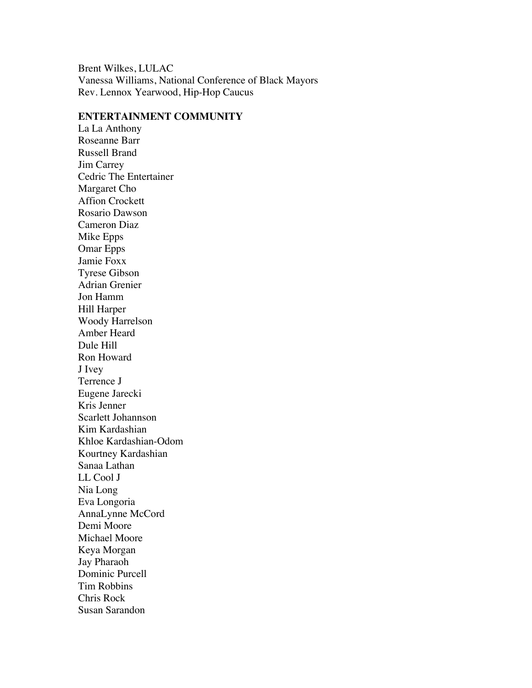Brent Wilkes, LULAC Vanessa Williams, National Conference of Black Mayors Rev. Lennox Yearwood, Hip-Hop Caucus

# **ENTERTAINMENT COMMUNITY**

La La Anthony Roseanne Barr Russell Brand Jim Carrey Cedric The Entertainer Margaret Cho Affion Crockett Rosario Dawson Cameron Diaz Mike Epps Omar Epps Jamie Foxx Tyrese Gibson Adrian Grenier Jon Hamm Hill Harper Woody Harrelson Amber Heard Dule Hill Ron Howard J Ivey Terrence J Eugene Jarecki Kris Jenner Scarlett Johannson Kim Kardashian Khloe Kardashian-Odom Kourtney Kardashian Sanaa Lathan LL Cool J Nia Long Eva Longoria AnnaLynne McCord Demi Moore Michael Moore Keya Morgan Jay Pharaoh Dominic Purcell Tim Robbins Chris Rock Susan Sarandon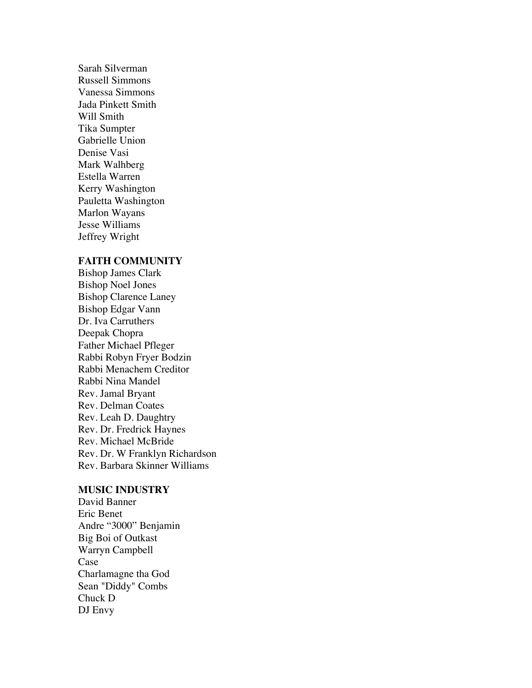Sarah Silverman Russell Simmons Vanessa Simmons Jada Pinkett Smith Will Smith Tika Sumpter Gabrielle Union Denise Vasi Mark Walhberg Estella Warren Kerry Washington Pauletta Washington Marlon Wayans Jesse Williams Jeffrey Wright

### **FAITH COMMUNITY**

Bishop James Clark Bishop Noel Jones Bishop Clarence Laney Bishop Edgar Vann Dr. Iva Carruthers Deepak Chopra Father Michael Pfleger Rabbi Robyn Fryer Bodzin Rabbi Menachem Creditor Rabbi Nina Mandel Rev. Jamal Bryant Rev. Delman Coates Rev. Leah D. Daughtry Rev. Dr. Fredrick Haynes Rev. Michael McBride Rev. Dr. W Franklyn Richardson Rev. Barbara Skinner Williams

### **MUSIC INDUSTRY**

David Banner Eric Benet Andre "3000" Benjamin Big Boi of Outkast Warryn Campbell Case Charlamagne tha God Sean "Diddy" Combs Chuck D DJ Envy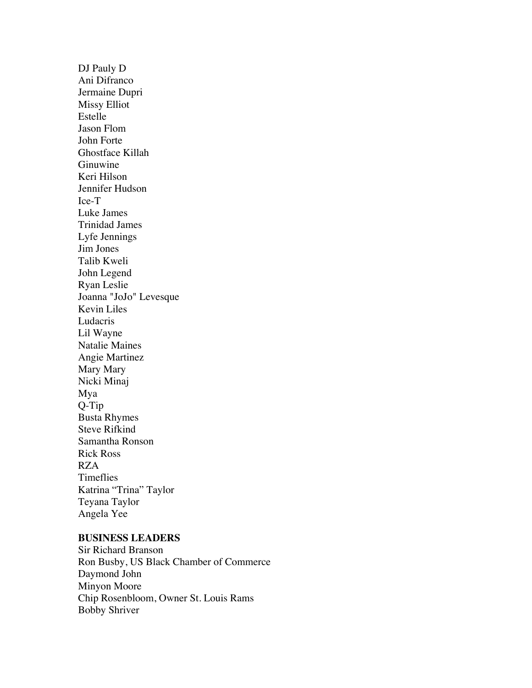DJ Pauly D Ani Difranco Jermaine Dupri Missy Elliot Estelle Jason Flom John Forte Ghostface Killah Ginuwine Keri Hilson Jennifer Hudson Ice-T Luke James Trinidad James Lyfe Jennings Jim Jones Talib Kweli John Legend Ryan Leslie Joanna "JoJo" Levesque Kevin Liles Ludacris Lil Wayne Natalie Maines Angie Martinez Mary Mary Nicki Minaj Mya Q-Tip Busta Rhymes Steve Rifkind Samantha Ronson Rick Ross RZA Timeflies Katrina "Trina" Taylor Teyana Taylor Angela Yee

### **BUSINESS LEADERS**

Sir Richard Branson Ron Busby, US Black Chamber of Commerce Daymond John Minyon Moore Chip Rosenbloom, Owner St. Louis Rams Bobby Shriver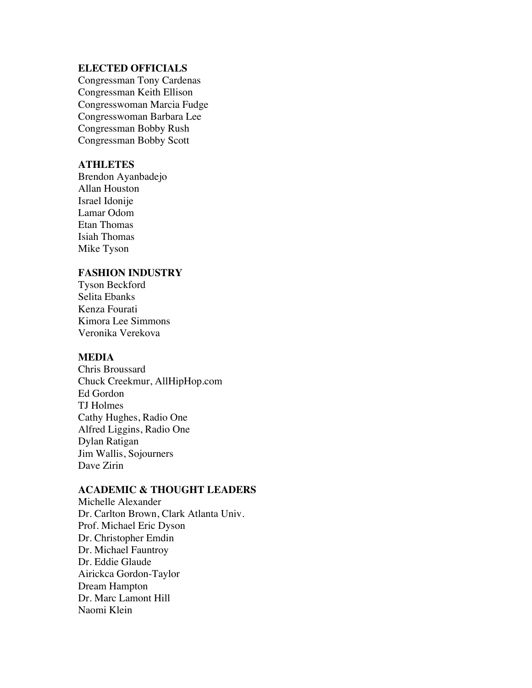## **ELECTED OFFICIALS**

Congressman Tony Cardenas Congressman Keith Ellison Congresswoman Marcia Fudge Congresswoman Barbara Lee Congressman Bobby Rush Congressman Bobby Scott

# **ATHLETES**

Brendon Ayanbadejo Allan Houston Israel Idonije Lamar Odom Etan Thomas Isiah Thomas Mike Tyson

### **FASHION INDUSTRY**

Tyson Beckford Selita Ebanks Kenza Fourati Kimora Lee Simmons Veronika Verekova

### **MEDIA**

Chris Broussard Chuck Creekmur, AllHipHop.com Ed Gordon TJ Holmes Cathy Hughes, Radio One Alfred Liggins, Radio One Dylan Ratigan Jim Wallis, Sojourners Dave Zirin

# **ACADEMIC & THOUGHT LEADERS**

Michelle Alexander Dr. Carlton Brown, Clark Atlanta Univ. Prof. Michael Eric Dyson Dr. Christopher Emdin Dr. Michael Fauntroy Dr. Eddie Glaude Airickca Gordon-Taylor Dream Hampton Dr. Marc Lamont Hill Naomi Klein